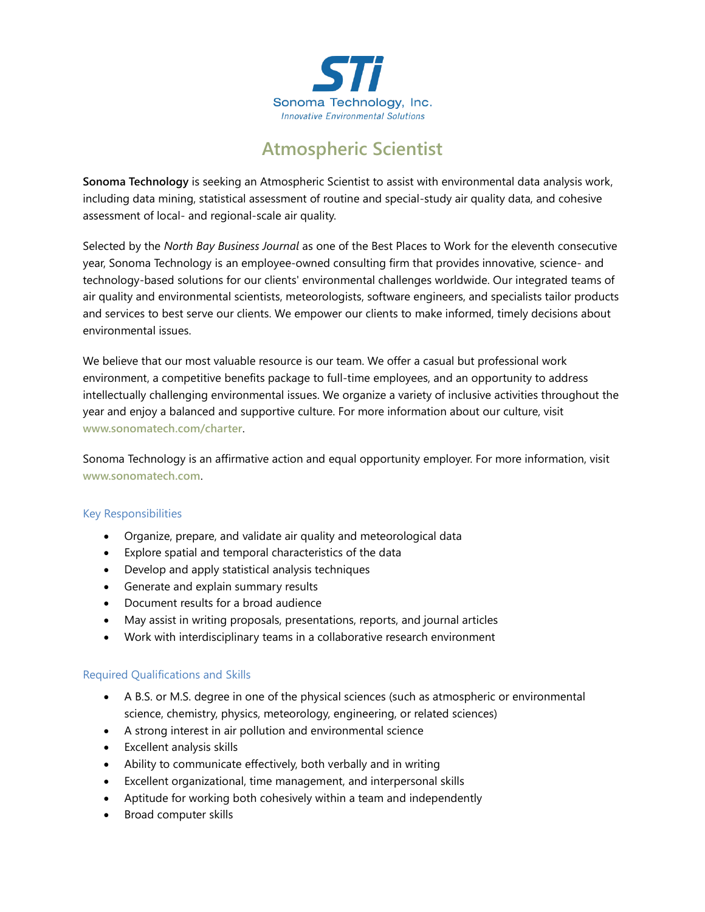

# **Atmospheric Scientist**

**Sonoma Technology** is seeking an Atmospheric Scientist to assist with environmental data analysis work, including data mining, statistical assessment of routine and special-study air quality data, and cohesive assessment of local- and regional-scale air quality.

Selected by the *North Bay Business Journal* as one of the Best Places to Work for the eleventh consecutive year, Sonoma Technology is an employee-owned consulting firm that provides innovative, science- and technology-based solutions for our clients' environmental challenges worldwide. Our integrated teams of air quality and environmental scientists, meteorologists, software engineers, and specialists tailor products and services to best serve our clients. We empower our clients to make informed, timely decisions about environmental issues.

We believe that our most valuable resource is our team. We offer a casual but professional work environment, a competitive benefits package to full-time employees, and an opportunity to address intellectually challenging environmental issues. We organize a variety of inclusive activities throughout the year and enjoy a balanced and supportive culture. For more information about our culture, visit **[www.sonomatech.com/charter](http://www.sonomatech.com/charter)**.

Sonoma Technology is an affirmative action and equal opportunity employer. For more information, visit **[www.sonomatech.com](http://www.sonomatech.com/)**.

### Key Responsibilities

- Organize, prepare, and validate air quality and meteorological data
- Explore spatial and temporal characteristics of the data
- Develop and apply statistical analysis techniques
- Generate and explain summary results
- Document results for a broad audience
- May assist in writing proposals, presentations, reports, and journal articles
- Work with interdisciplinary teams in a collaborative research environment

### Required Qualifications and Skills

- A B.S. or M.S. degree in one of the physical sciences (such as atmospheric or environmental science, chemistry, physics, meteorology, engineering, or related sciences)
- A strong interest in air pollution and environmental science
- Excellent analysis skills
- Ability to communicate effectively, both verbally and in writing
- Excellent organizational, time management, and interpersonal skills
- Aptitude for working both cohesively within a team and independently
- Broad computer skills